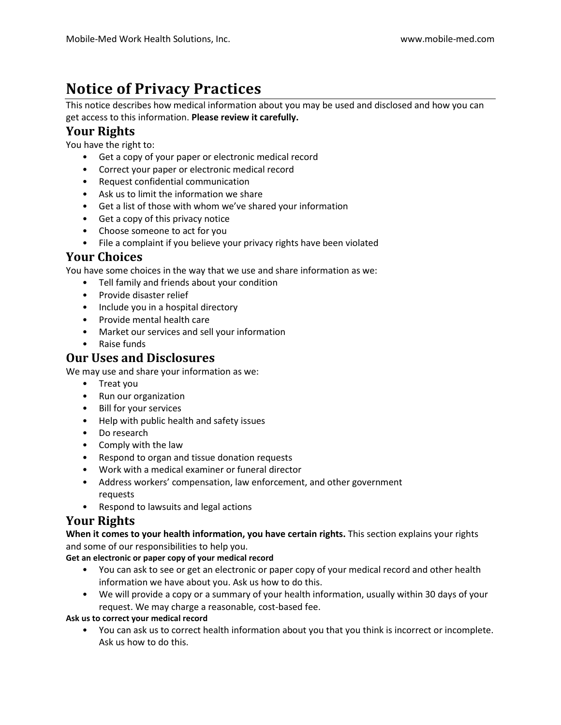# **Notice of Privacy Practices**

This notice describes how medical information about you may be used and disclosed and how you can get access to this information. **Please review it carefully.**

# **Your Rights**

You have the right to:

- Get a copy of your paper or electronic medical record
- Correct your paper or electronic medical record
- Request confidential communication
- Ask us to limit the information we share
- Get a list of those with whom we've shared your information
- Get a copy of this privacy notice
- Choose someone to act for you
- File a complaint if you believe your privacy rights have been violated

### **Your Choices**

You have some choices in the way that we use and share information as we:

- Tell family and friends about your condition
- Provide disaster relief
- Include you in a hospital directory
- Provide mental health care
- Market our services and sell your information
- Raise funds

### **Our Uses and Disclosures**

We may use and share your information as we:

- Treat you
- Run our organization
- Bill for your services
- Help with public health and safety issues
- Do research
- Comply with the law
- Respond to organ and tissue donation requests
- Work with a medical examiner or funeral director
- Address workers' compensation, law enforcement, and other government requests
- Respond to lawsuits and legal actions

# **Your Rights**

**When it comes to your health information, you have certain rights.** This section explains your rights and some of our responsibilities to help you.

#### **Get an electronic or paper copy of your medical record**

- You can ask to see or get an electronic or paper copy of your medical record and other health information we have about you. Ask us how to do this.
- We will provide a copy or a summary of your health information, usually within 30 days of your request. We may charge a reasonable, cost-based fee.

#### **Ask us to correct your medical record**

• You can ask us to correct health information about you that you think is incorrect or incomplete. Ask us how to do this.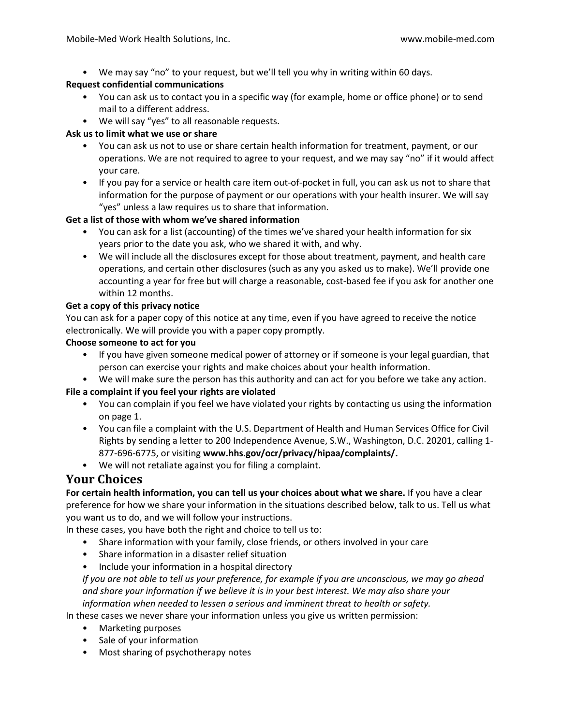• We may say "no" to your request, but we'll tell you why in writing within 60 days.

#### **Request confidential communications**

- You can ask us to contact you in a specific way (for example, home or office phone) or to send mail to a different address.
- We will say "yes" to all reasonable requests.

#### **Ask us to limit what we use or share**

- You can ask us not to use or share certain health information for treatment, payment, or our operations. We are not required to agree to your request, and we may say "no" if it would affect your care.
- If you pay for a service or health care item out-of-pocket in full, you can ask us not to share that information for the purpose of payment or our operations with your health insurer. We will say "yes" unless a law requires us to share that information.

#### **Get a list of those with whom we've shared information**

- You can ask for a list (accounting) of the times we've shared your health information for six years prior to the date you ask, who we shared it with, and why.
- We will include all the disclosures except for those about treatment, payment, and health care operations, and certain other disclosures (such as any you asked us to make). We'll provide one accounting a year for free but will charge a reasonable, cost-based fee if you ask for another one within 12 months.

#### **Get a copy of this privacy notice**

You can ask for a paper copy of this notice at any time, even if you have agreed to receive the notice electronically. We will provide you with a paper copy promptly.

#### **Choose someone to act for you**

- If you have given someone medical power of attorney or if someone is your legal guardian, that person can exercise your rights and make choices about your health information.
- We will make sure the person has this authority and can act for you before we take any action.

#### **File a complaint if you feel your rights are violated**

- You can complain if you feel we have violated your rights by contacting us using the information on page 1.
- You can file a complaint with the U.S. Department of Health and Human Services Office for Civil Rights by sending a letter to 200 Independence Avenue, S.W., Washington, D.C. 20201, calling 1- 877-696-6775, or visiting **www.hhs.gov/ocr/privacy/hipaa/complaints/.**
- We will not retaliate against you for filing a complaint.

# **Your Choices**

**For certain health information, you can tell us your choices about what we share.** If you have a clear preference for how we share your information in the situations described below, talk to us. Tell us what you want us to do, and we will follow your instructions.

In these cases, you have both the right and choice to tell us to:

- Share information with your family, close friends, or others involved in your care
- Share information in a disaster relief situation
- Include your information in a hospital directory

*If you are not able to tell us your preference, for example if you are unconscious, we may go ahead and share your information if we believe it is in your best interest. We may also share your information when needed to lessen a serious and imminent threat to health or safety.*

In these cases we never share your information unless you give us written permission:

- Marketing purposes
- Sale of your information
- Most sharing of psychotherapy notes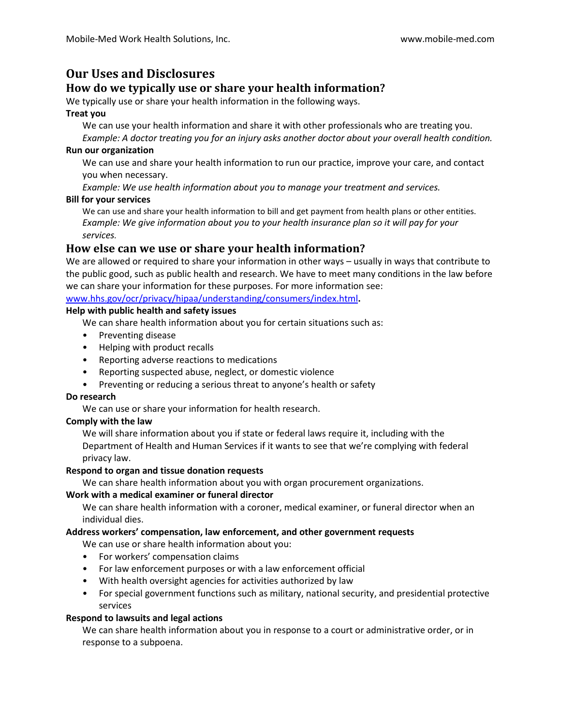# **Our Uses and Disclosures**

### **How do we typically use or share your health information?**

We typically use or share your health information in the following ways.

#### **Treat you**

We can use your health information and share it with other professionals who are treating you. *Example: A doctor treating you for an injury asks another doctor about your overall health condition.*

#### **Run our organization**

We can use and share your health information to run our practice, improve your care, and contact you when necessary.

*Example: We use health information about you to manage your treatment and services.* 

#### **Bill for your services**

We can use and share your health information to bill and get payment from health plans or other entities. *Example: We give information about you to your health insurance plan so it will pay for your services.* 

### **How else can we use or share your health information?**

We are allowed or required to share your information in other ways – usually in ways that contribute to the public good, such as public health and research. We have to meet many conditions in the law before we can share your information for these purposes. For more information see:

[www.hhs.gov/ocr/privacy/hipaa/understanding/consumers/index.html](http://www.hhs.gov/ocr/privacy/hipaa/understanding/consumers/index.html)**.**

#### **Help with public health and safety issues**

We can share health information about you for certain situations such as:

- Preventing disease
- Helping with product recalls
- Reporting adverse reactions to medications
- Reporting suspected abuse, neglect, or domestic violence
- Preventing or reducing a serious threat to anyone's health or safety

#### **Do research**

We can use or share your information for health research.

#### **Comply with the law**

We will share information about you if state or federal laws require it, including with the Department of Health and Human Services if it wants to see that we're complying with federal privacy law.

#### **Respond to organ and tissue donation requests**

We can share health information about you with organ procurement organizations.

#### **Work with a medical examiner or funeral director**

We can share health information with a coroner, medical examiner, or funeral director when an individual dies.

#### **Address workers' compensation, law enforcement, and other government requests**

We can use or share health information about you:

- For workers' compensation claims
- For law enforcement purposes or with a law enforcement official
- With health oversight agencies for activities authorized by law
- For special government functions such as military, national security, and presidential protective services

#### **Respond to lawsuits and legal actions**

We can share health information about you in response to a court or administrative order, or in response to a subpoena.